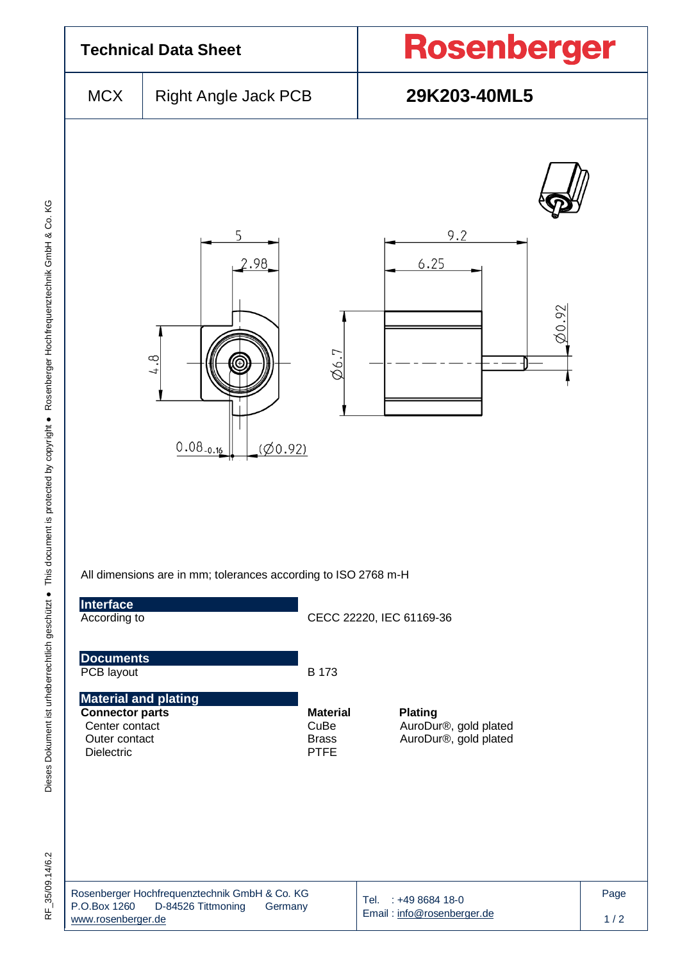